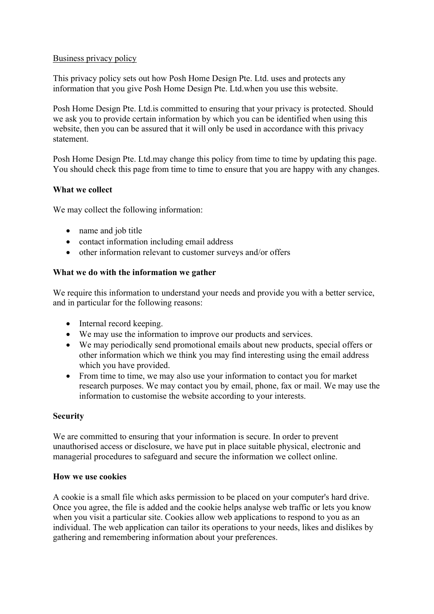## Business privacy policy

This privacy policy sets out how Posh Home Design Pte. Ltd. uses and protects any information that you give Posh Home Design Pte. Ltd.when you use this website.

Posh Home Design Pte. Ltd.is committed to ensuring that your privacy is protected. Should we ask you to provide certain information by which you can be identified when using this website, then you can be assured that it will only be used in accordance with this privacy statement.

Posh Home Design Pte. Ltd.may change this policy from time to time by updating this page. You should check this page from time to time to ensure that you are happy with any changes.

## **What we collect**

We may collect the following information:

- name and job title
- contact information including email address
- other information relevant to customer surveys and/or offers

## **What we do with the information we gather**

We require this information to understand your needs and provide you with a better service, and in particular for the following reasons:

- Internal record keeping.
- We may use the information to improve our products and services.
- We may periodically send promotional emails about new products, special offers or other information which we think you may find interesting using the email address which you have provided.
- From time to time, we may also use your information to contact you for market research purposes. We may contact you by email, phone, fax or mail. We may use the information to customise the website according to your interests.

# **Security**

We are committed to ensuring that your information is secure. In order to prevent unauthorised access or disclosure, we have put in place suitable physical, electronic and managerial procedures to safeguard and secure the information we collect online.

#### **How we use cookies**

A cookie is a small file which asks permission to be placed on your computer's hard drive. Once you agree, the file is added and the cookie helps analyse web traffic or lets you know when you visit a particular site. Cookies allow web applications to respond to you as an individual. The web application can tailor its operations to your needs, likes and dislikes by gathering and remembering information about your preferences.